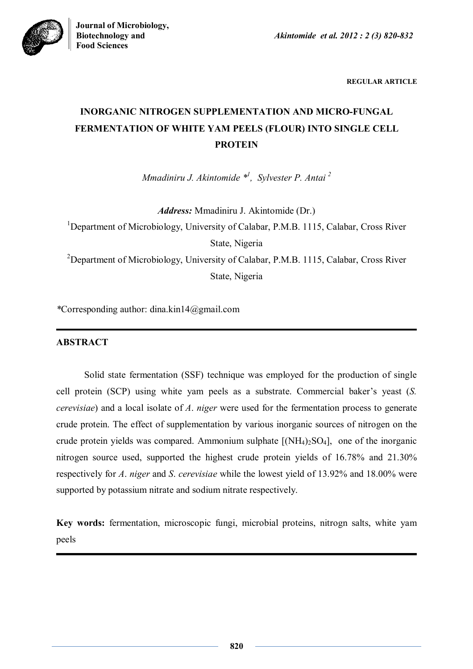

**REGULAR ARTICLE**

# **INORGANIC NITROGEN SUPPLEMENTATION AND MICRO-FUNGAL FERMENTATION OF WHITE YAM PEELS (FLOUR) INTO SINGLE CELL PROTEIN**

*Mmadiniru J. Akintomide \*<sup>1</sup> , Sylvester P. Antai <sup>2</sup>*

*Address:* Mmadiniru J. Akintomide (Dr.)

<sup>1</sup>Department of Microbiology, University of Calabar, P.M.B. 1115, Calabar, Cross River State, Nigeria

<sup>2</sup>Department of Microbiology, University of Calabar, P.M.B. 1115, Calabar, Cross River State, Nigeria

*\**Corresponding author: dina.kin14@gmail.com

# **ABSTRACT**

Solid state fermentation (SSF) technique was employed for the production of single cell protein (SCP) using white yam peels as a substrate. Commercial baker's yeast (*S. cerevisiae*) and a local isolate of *A*. *niger* were used for the fermentation process to generate crude protein. The effect of supplementation by various inorganic sources of nitrogen on the crude protein yields was compared. Ammonium sulphate  $[(NH_4)_2SO_4]$ , one of the inorganic nitrogen source used, supported the highest crude protein yields of 16.78% and 21.30% respectively for *A*. *niger* and *S*. *cerevisiae* while the lowest yield of 13.92% and 18.00% were supported by potassium nitrate and sodium nitrate respectively.

**Key words:** fermentation, microscopic fungi, microbial proteins, nitrogn salts, white yam peels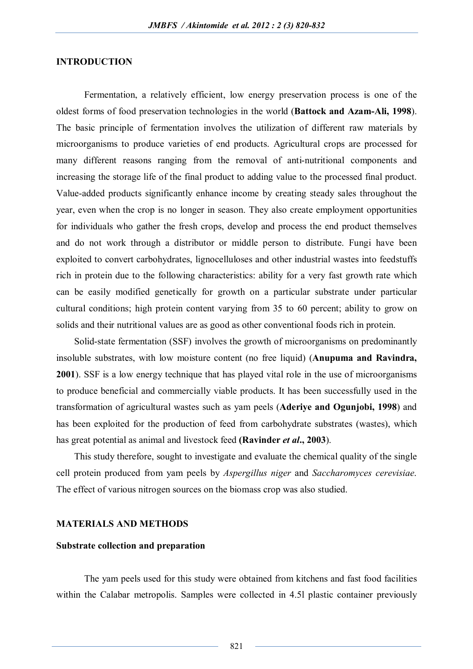## **INTRODUCTION**

Fermentation, a relatively efficient, low energy preservation process is one of the oldest forms of food preservation technologies in the world (**Battock and Azam-Ali, 1998**). The basic principle of fermentation involves the utilization of different raw materials by microorganisms to produce varieties of end products. Agricultural crops are processed for many different reasons ranging from the removal of anti-nutritional components and increasing the storage life of the final product to adding value to the processed final product. Value-added products significantly enhance income by creating steady sales throughout the year, even when the crop is no longer in season. They also create employment opportunities for individuals who gather the fresh crops, develop and process the end product themselves and do not work through a distributor or middle person to distribute. Fungi have been exploited to convert carbohydrates, lignocelluloses and other industrial wastes into feedstuffs rich in protein due to the following characteristics: ability for a very fast growth rate which can be easily modified genetically for growth on a particular substrate under particular cultural conditions; high protein content varying from 35 to 60 percent; ability to grow on solids and their nutritional values are as good as other conventional foods rich in protein.

Solid-state fermentation (SSF) involves the growth of microorganisms on predominantly insoluble substrates, with low moisture content (no free liquid) (**Anupuma and Ravindra, 2001**). SSF is a low energy technique that has played vital role in the use of microorganisms to produce beneficial and commercially viable products. It has been successfully used in the transformation of agricultural wastes such as yam peels (**Aderiye and Ogunjobi, 1998**) and has been exploited for the production of feed from carbohydrate substrates (wastes), which has great potential as animal and livestock feed **(Ravinder** *et al***., 2003**).

This study therefore, sought to investigate and evaluate the chemical quality of the single cell protein produced from yam peels by *Aspergillus niger* and *Saccharomyces cerevisiae*. The effect of various nitrogen sources on the biomass crop was also studied.

#### **MATERIALS AND METHODS**

# **Substrate collection and preparation**

The yam peels used for this study were obtained from kitchens and fast food facilities within the Calabar metropolis. Samples were collected in 4.5l plastic container previously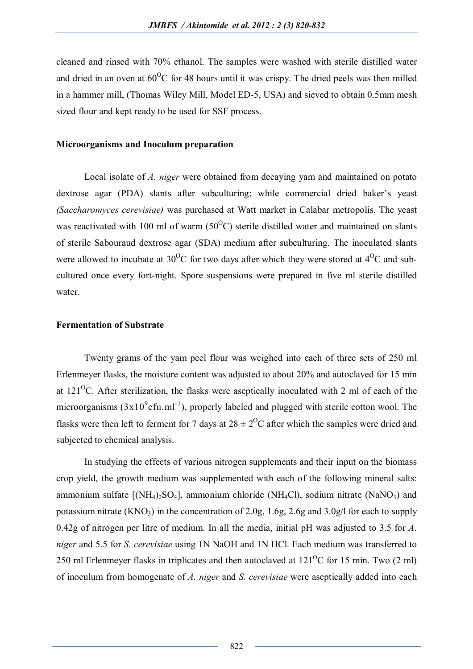cleaned and rinsed with 70% ethanol. The samples were washed with sterile distilled water and dried in an oven at  $60^{\circ}$ C for 48 hours until it was crispy. The dried peels was then milled in a hammer mill, (Thomas Wiley Mill, Model ED-5, USA) and sieved to obtain 0.5mm mesh sized flour and kept ready to be used for SSF process.

# **Microorganisms and Inoculum preparation**

Local isolate of *A. niger* were obtained from decaying yam and maintained on potato dextrose agar (PDA) slants after subculturing; while commercial dried baker's yeast *(Saccharomyces cerevisiae)* was purchased at Watt market in Calabar metropolis. The yeast was reactivated with 100 ml of warm  $(50^{\circ}C)$  sterile distilled water and maintained on slants of sterile Sabouraud dextrose agar (SDA) medium after subculturing. The inoculated slants were allowed to incubate at 30<sup>o</sup>C for two days after which they were stored at  $4^{0}C$  and subcultured once every fort-night. Spore suspensions were prepared in five ml sterile distilled water

#### **Fermentation of Substrate**

Twenty grams of the yam peel flour was weighed into each of three sets of 250 ml Erlenmeyer flasks, the moisture content was adjusted to about 20% and autoclaved for 15 min at  $121^{\circ}$ C. After sterilization, the flasks were aseptically inoculated with 2 ml of each of the microorganisms  $(3x10^9$ cfu.ml<sup>-1</sup>), properly labeled and plugged with sterile cotton wool. The flasks were then left to ferment for 7 days at  $28 \pm 2^{0}$ C after which the samples were dried and subjected to chemical analysis.

In studying the effects of various nitrogen supplements and their input on the biomass crop yield, the growth medium was supplemented with each of the following mineral salts: ammonium sulfate  $[(NH_4)_2SO_4]$ , ammonium chloride (NH<sub>4</sub>Cl), sodium nitrate (NaNO<sub>3</sub>) and potassium nitrate  $(KNO_3)$  in the concentration of 2.0g, 1.6g, 2.6g and 3.0g/l for each to supply 0.42g of nitrogen per litre of medium. In all the media, initial pH was adjusted to 3.5 for *A*. *niger* and 5.5 for *S. cerevisiae* using 1N NaOH and 1N HCl. Each medium was transferred to 250 ml Erlenmeyer flasks in triplicates and then autoclaved at  $121^{\circ}$ C for 15 min. Two (2 ml) of inoculum from homogenate of *A. niger* and *S. cerevisiae* were aseptically added into each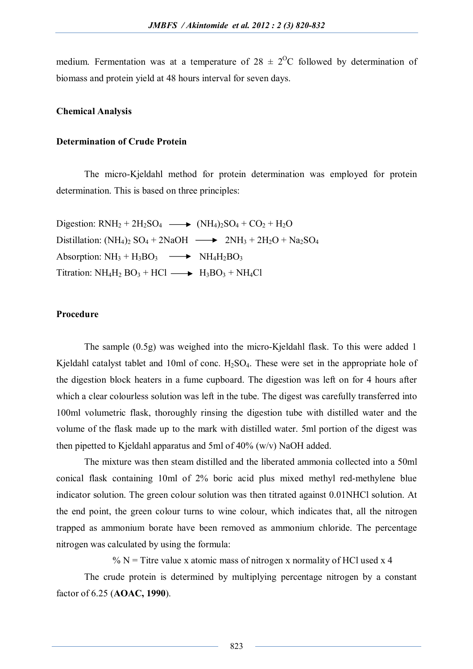medium. Fermentation was at a temperature of  $28 \pm 2^0C$  followed by determination of biomass and protein yield at 48 hours interval for seven days.

#### **Chemical Analysis**

#### **Determination of Crude Protein**

The micro-Kjeldahl method for protein determination was employed for protein determination. This is based on three principles:

Digestion:  $RNH_2 + 2H_2SO_4 \longrightarrow (NH_4)_2SO_4 + CO_2 + H_2O$ Distillation:  $(NH_4)$ <sub>2</sub>  $SO_4$  + 2NaOH  $\longrightarrow$  2NH<sub>3</sub> + 2H<sub>2</sub>O + Na<sub>2</sub>SO<sub>4</sub> Absorption:  $NH_3 + H_3BO_3 \longrightarrow NH_4H_2BO_3$ Titration:  $NH_4H_2 BO_3 + HCl \longrightarrow H_3BO_3 + NH_4Cl$ 

#### **Procedure**

The sample (0.5g) was weighed into the micro-Kjeldahl flask. To this were added 1 Kjeldahl catalyst tablet and 10ml of conc.  $H_2SO_4$ . These were set in the appropriate hole of the digestion block heaters in a fume cupboard. The digestion was left on for 4 hours after which a clear colourless solution was left in the tube. The digest was carefully transferred into 100ml volumetric flask, thoroughly rinsing the digestion tube with distilled water and the volume of the flask made up to the mark with distilled water. 5ml portion of the digest was then pipetted to Kjeldahl apparatus and 5ml of 40% (w/v) NaOH added.

The mixture was then steam distilled and the liberated ammonia collected into a 50ml conical flask containing 10ml of 2% boric acid plus mixed methyl red-methylene blue indicator solution. The green colour solution was then titrated against 0.01NHCl solution. At the end point, the green colour turns to wine colour, which indicates that, all the nitrogen trapped as ammonium borate have been removed as ammonium chloride. The percentage nitrogen was calculated by using the formula:

%  $N =$  Titre value x atomic mass of nitrogen x normality of HCl used x 4

The crude protein is determined by multiplying percentage nitrogen by a constant factor of 6.25 (**AOAC, 1990**).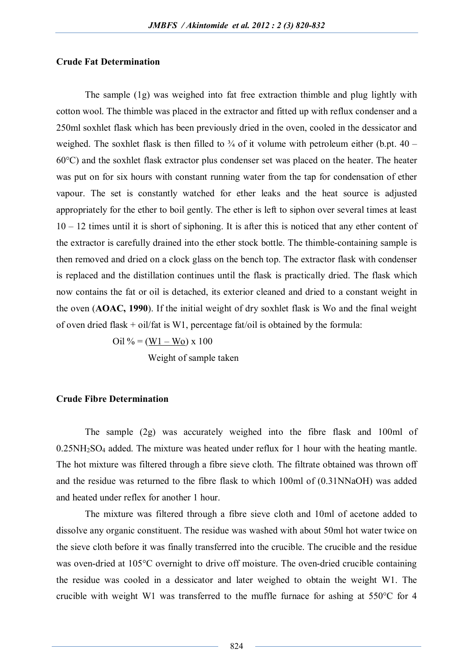#### **Crude Fat Determination**

The sample (1g) was weighed into fat free extraction thimble and plug lightly with cotton wool. The thimble was placed in the extractor and fitted up with reflux condenser and a 250ml soxhlet flask which has been previously dried in the oven, cooled in the dessicator and weighed. The soxhlet flask is then filled to  $\frac{3}{4}$  of it volume with petroleum either (b.pt. 40 – 60°C) and the soxhlet flask extractor plus condenser set was placed on the heater. The heater was put on for six hours with constant running water from the tap for condensation of ether vapour. The set is constantly watched for ether leaks and the heat source is adjusted appropriately for the ether to boil gently. The ether is left to siphon over several times at least 10 – 12 times until it is short of siphoning. It is after this is noticed that any ether content of the extractor is carefully drained into the ether stock bottle. The thimble-containing sample is then removed and dried on a clock glass on the bench top. The extractor flask with condenser is replaced and the distillation continues until the flask is practically dried. The flask which now contains the fat or oil is detached, its exterior cleaned and dried to a constant weight in the oven (**AOAC, 1990**). If the initial weight of dry soxhlet flask is Wo and the final weight of oven dried flask + oil/fat is W1, percentage fat/oil is obtained by the formula:

Oil % =  $(W1 - W_0)$  x 100

Weight of sample taken

## **Crude Fibre Determination**

The sample (2g) was accurately weighed into the fibre flask and 100ml of 0.25NH2SO<sup>4</sup> added. The mixture was heated under reflux for 1 hour with the heating mantle. The hot mixture was filtered through a fibre sieve cloth. The filtrate obtained was thrown off and the residue was returned to the fibre flask to which 100ml of (0.31NNaOH) was added and heated under reflex for another 1 hour.

The mixture was filtered through a fibre sieve cloth and 10ml of acetone added to dissolve any organic constituent. The residue was washed with about 50ml hot water twice on the sieve cloth before it was finally transferred into the crucible. The crucible and the residue was oven-dried at 105°C overnight to drive off moisture. The oven-dried crucible containing the residue was cooled in a dessicator and later weighed to obtain the weight W1. The crucible with weight W1 was transferred to the muffle furnace for ashing at 550°C for 4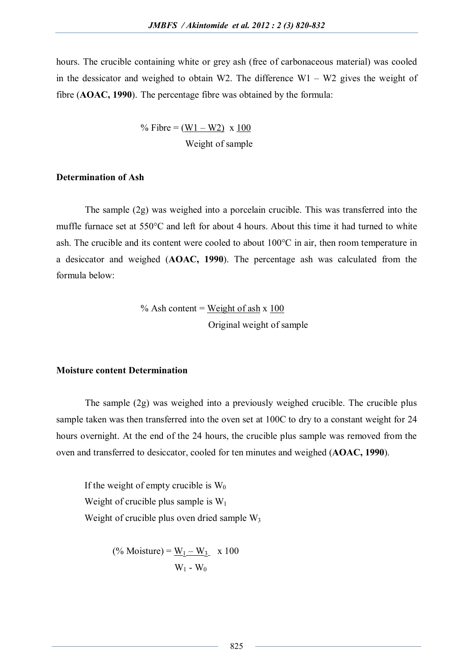hours. The crucible containing white or grey ash (free of carbonaceous material) was cooled in the dessicator and weighed to obtain W2. The difference  $W1 - W2$  gives the weight of fibre (**AOAC, 1990**). The percentage fibre was obtained by the formula:

> % Fibre =  $(W1 - W2) \times 100$ Weight of sample

## **Determination of Ash**

The sample (2g) was weighed into a porcelain crucible. This was transferred into the muffle furnace set at 550°C and left for about 4 hours. About this time it had turned to white ash. The crucible and its content were cooled to about 100°C in air, then room temperature in a desiccator and weighed (**AOAC, 1990**). The percentage ash was calculated from the formula below:

> % Ash content = Weight of ash  $x$  100 Original weight of sample

#### **Moisture content Determination**

The sample (2g) was weighed into a previously weighed crucible. The crucible plus sample taken was then transferred into the oven set at 100C to dry to a constant weight for 24 hours overnight. At the end of the 24 hours, the crucible plus sample was removed from the oven and transferred to desiccator, cooled for ten minutes and weighed (**AOAC, 1990**).

If the weight of empty crucible is  $W_0$ Weight of crucible plus sample is  $W_1$ Weight of crucible plus oven dried sample W<sub>3</sub>

$$
\text{(% Moisture)} = \underline{W_1 - W_3} \quad \text{x 100}
$$
\n
$$
W_1 - W_0
$$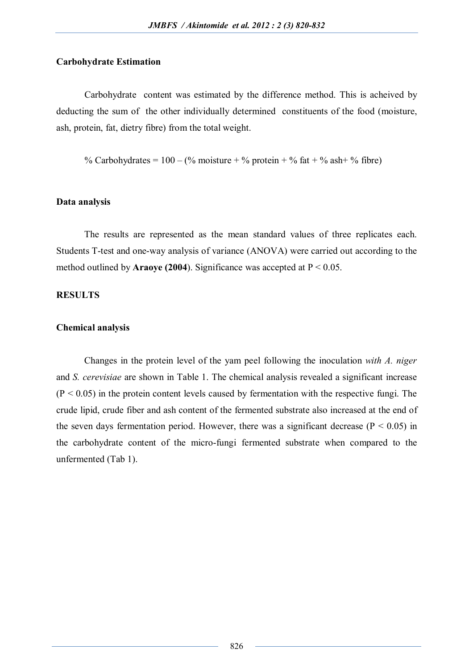## **Carbohydrate Estimation**

Carbohydrate content was estimated by the difference method. This is acheived by deducting the sum of the other individually determined constituents of the food (moisture, ash, protein, fat, dietry fibre) from the total weight.

% Carbohydrates =  $100 - (% \text{ moisture} + % \text{ protein} + % \text{ fat} + % \text{ash} % \text{fish} + % \text{fish} + % \text{fish} + % \text{fish} + % \text{fish} + % \text{fish} + % \text{fish} + % \text{fish} + % \text{fish} + % \text{fish} + % \text{fish} + % \text{fish} + % \text{fish} + % \text{fish} + % \text{fish} + % \text{fish} + % \text{fish} + % \text{fish} + % \text{fish} + % \text{fish} + % \text{fish} + % \text{fish} + % \text{fish} + % \text{fish} + % \$ 

# **Data analysis**

The results are represented as the mean standard values of three replicates each. Students T-test and one-way analysis of variance (ANOVA) were carried out according to the method outlined by **Araoye** (2004). Significance was accepted at  $P < 0.05$ .

# **RESULTS**

## **Chemical analysis**

Changes in the protein level of the yam peel following the inoculation *with A. niger* and *S. cerevisiae* are shown in Table 1. The chemical analysis revealed a significant increase  $(P < 0.05)$  in the protein content levels caused by fermentation with the respective fungi. The crude lipid, crude fiber and ash content of the fermented substrate also increased at the end of the seven days fermentation period. However, there was a significant decrease ( $P < 0.05$ ) in the carbohydrate content of the micro-fungi fermented substrate when compared to the unfermented (Tab 1).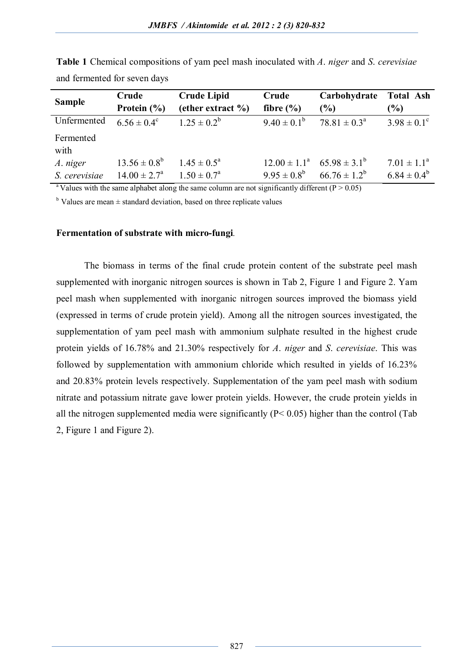| <b>Sample</b>     | Crude                   | <b>Crude Lipid</b>        | Crude            | Carbohydrate                        | <b>Total Ash</b>       |
|-------------------|-------------------------|---------------------------|------------------|-------------------------------------|------------------------|
|                   | Protein $(\% )$         | (ether extract $\%$ )     | fibre $(\% )$    | $(\%)$                              | $(\%)$                 |
| Unfermented       | $6.56 \pm 0.4^c$        | $1.25 \pm 0.2^b$          | $9.40 \pm 0.1^b$ | $78.81 \pm 0.3^{\circ}$             | $3.98 \pm 0.1^{\circ}$ |
| Fermented<br>with |                         |                           |                  |                                     |                        |
| A. niger          | $13.56 \pm 0.8^b$       | $1.45 \pm 0.5^{\text{a}}$ |                  | $12.00 \pm 1.1^a$ $65.98 \pm 3.1^b$ | $7.01 \pm 1.1^a$       |
| S. cerevisiae     | $14.00 \pm 2.7^{\circ}$ | $1.50 \pm 0.7^{\circ}$    | $9.95 \pm 0.8^b$ | $66.76 \pm 1.2^b$                   | $6.84 \pm 0.4^b$       |

**Table 1** Chemical compositions of yam peel mash inoculated with *A*. *niger* and *S*. *cerevisiae*  and fermented for seven days

<sup>a</sup> Values with the same alphabet along the same column are not significantly different ( $P > 0.05$ )

 $<sup>b</sup>$  Values are mean  $\pm$  standard deviation, based on three replicate values</sup>

## **Fermentation of substrate with micro-fungi***.*

The biomass in terms of the final crude protein content of the substrate peel mash supplemented with inorganic nitrogen sources is shown in Tab 2, Figure 1 and Figure 2. Yam peel mash when supplemented with inorganic nitrogen sources improved the biomass yield (expressed in terms of crude protein yield). Among all the nitrogen sources investigated, the supplementation of yam peel mash with ammonium sulphate resulted in the highest crude protein yields of 16.78% and 21.30% respectively for *A*. *niger* and *S*. *cerevisiae*. This was followed by supplementation with ammonium chloride which resulted in yields of 16.23% and 20.83% protein levels respectively. Supplementation of the yam peel mash with sodium nitrate and potassium nitrate gave lower protein yields. However, the crude protein yields in all the nitrogen supplemented media were significantly  $(P< 0.05)$  higher than the control (Tab 2, Figure 1 and Figure 2).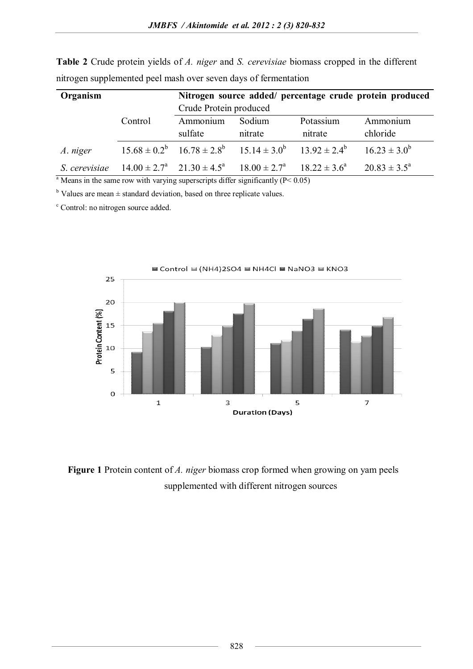| Organism      |         | Nitrogen source added/ percentage crude protein produced                |         |           |                         |  |  |
|---------------|---------|-------------------------------------------------------------------------|---------|-----------|-------------------------|--|--|
|               |         | Crude Protein produced                                                  |         |           |                         |  |  |
|               | Control | Ammonium                                                                | Sodium  | Potassium | Ammonium                |  |  |
|               |         | sulfate                                                                 | nitrate | nitrate   | chloride                |  |  |
| A. niger      |         | $15.68 \pm 0.2^b$ $16.78 \pm 2.8^b$ $15.14 \pm 3.0^b$ $13.92 \pm 2.4^b$ |         |           | $16.23 \pm 3.0^b$       |  |  |
| S. cerevisiae |         | $14.00 \pm 2.7^a$ $21.30 \pm 4.5^a$ $18.00 \pm 2.7^a$ $18.22 \pm 3.6^a$ |         |           | $20.83 \pm 3.5^{\circ}$ |  |  |

**Table 2** Crude protein yields of *A. niger* and *S. cerevisiae* biomass cropped in the different nitrogen supplemented peel mash over seven days of fermentation

<sup>a</sup> Means in the same row with varying superscripts differ significantly ( $P < 0.05$ )

 $<sup>b</sup>$  Values are mean  $\pm$  standard deviation, based on three replicate values.</sup>

<sup>c</sup> Control: no nitrogen source added.



**Figure 1** Protein content of *A. niger* biomass crop formed when growing on yam peels supplemented with different nitrogen sources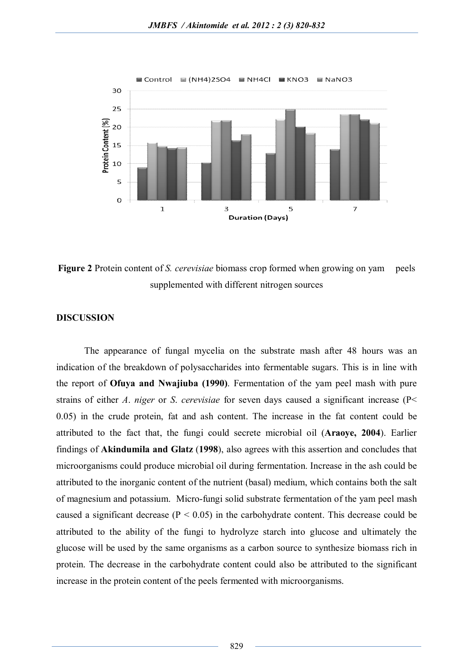

**Figure 2** Protein content of *S. cerevisiae* biomass crop formed when growing on yam peels supplemented with different nitrogen sources

# **DISCUSSION**

The appearance of fungal mycelia on the substrate mash after 48 hours was an indication of the breakdown of polysaccharides into fermentable sugars. This is in line with the report of **Ofuya and Nwajiuba (1990)**. Fermentation of the yam peel mash with pure strains of either *A*. *niger* or *S*. *cerevisiae* for seven days caused a significant increase (P< 0.05) in the crude protein, fat and ash content. The increase in the fat content could be attributed to the fact that, the fungi could secrete microbial oil (**Araoye, 2004**). Earlier findings of **Akindumila and Glatz** (**1998**), also agrees with this assertion and concludes that microorganisms could produce microbial oil during fermentation. Increase in the ash could be attributed to the inorganic content of the nutrient (basal) medium, which contains both the salt of magnesium and potassium. Micro-fungi solid substrate fermentation of the yam peel mash caused a significant decrease ( $P < 0.05$ ) in the carbohydrate content. This decrease could be attributed to the ability of the fungi to hydrolyze starch into glucose and ultimately the glucose will be used by the same organisms as a carbon source to synthesize biomass rich in protein. The decrease in the carbohydrate content could also be attributed to the significant increase in the protein content of the peels fermented with microorganisms.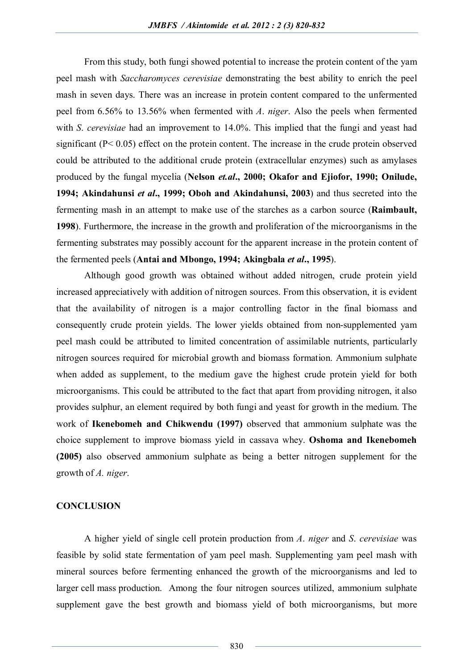From this study, both fungi showed potential to increase the protein content of the yam peel mash with *Saccharomyces cerevisiae* demonstrating the best ability to enrich the peel mash in seven days. There was an increase in protein content compared to the unfermented peel from 6.56% to 13.56% when fermented with *A*. *niger*. Also the peels when fermented with *S*. *cerevisiae* had an improvement to 14.0%. This implied that the fungi and yeast had significant (P< 0.05) effect on the protein content. The increase in the crude protein observed could be attributed to the additional crude protein (extracellular enzymes) such as amylases produced by the fungal mycelia (**Nelson** *et.al***., 2000; Okafor and Ejiofor, 1990; Onilude, 1994; Akindahunsi** *et al***., 1999; Oboh and Akindahunsi, 2003**) and thus secreted into the fermenting mash in an attempt to make use of the starches as a carbon source (**Raimbault, 1998**). Furthermore, the increase in the growth and proliferation of the microorganisms in the fermenting substrates may possibly account for the apparent increase in the protein content of the fermented peels (**Antai and Mbongo, 1994; Akingbala** *et al***., 1995**).

Although good growth was obtained without added nitrogen, crude protein yield increased appreciatively with addition of nitrogen sources. From this observation, it is evident that the availability of nitrogen is a major controlling factor in the final biomass and consequently crude protein yields. The lower yields obtained from non-supplemented yam peel mash could be attributed to limited concentration of assimilable nutrients, particularly nitrogen sources required for microbial growth and biomass formation. Ammonium sulphate when added as supplement, to the medium gave the highest crude protein yield for both microorganisms. This could be attributed to the fact that apart from providing nitrogen, it also provides sulphur, an element required by both fungi and yeast for growth in the medium. The work of **Ikenebomeh and Chikwendu (1997)** observed that ammonium sulphate was the choice supplement to improve biomass yield in cassava whey. **Oshoma and Ikenebomeh (2005)** also observed ammonium sulphate as being a better nitrogen supplement for the growth of *A. niger*.

#### **CONCLUSION**

A higher yield of single cell protein production from *A*. *niger* and *S*. *cerevisiae* was feasible by solid state fermentation of yam peel mash. Supplementing yam peel mash with mineral sources before fermenting enhanced the growth of the microorganisms and led to larger cell mass production. Among the four nitrogen sources utilized, ammonium sulphate supplement gave the best growth and biomass yield of both microorganisms, but more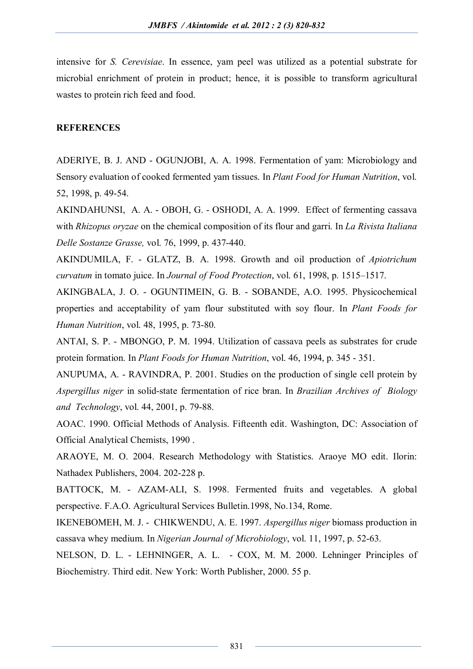intensive for *S. Cerevisiae*. In essence, yam peel was utilized as a potential substrate for microbial enrichment of protein in product; hence, it is possible to transform agricultural wastes to protein rich feed and food.

# **REFERENCES**

ADERIYE, B. J. AND - OGUNJOBI, A. A. 1998. Fermentation of yam: Microbiology and Sensory evaluation of cooked fermented yam tissues. In *Plant Food for Human Nutrition*, vol. 52, 1998, p. 49-54.

AKINDAHUNSI, A. A. - OBOH, G. - OSHODI, A. A. 1999. Effect of fermenting cassava with *Rhizopus oryzae* on the chemical composition of its flour and garri. In *La Rivista Italiana Delle Sostanze Grasse,* vol. 76, 1999, p. 437-440.

AKINDUMILA, F. - GLATZ, B. A. 1998. Growth and oil production of *Apiotrichum curvatum* in tomato juice. In *Journal of Food Protection*, vol. 61, 1998, p. 1515–1517.

AKINGBALA, J. O. - OGUNTIMEIN, G. B. - SOBANDE, A.O. 1995. Physicochemical properties and acceptability of yam flour substituted with soy flour. In *Plant Foods for Human Nutrition*, vol. 48, 1995, p. 73-80.

ANTAI, S. P. - MBONGO, P. M. 1994. Utilization of cassava peels as substrates for crude protein formation. In *Plant Foods for Human Nutrition*, vol. 46, 1994, p. 345 - 351.

ANUPUMA, A. - RAVINDRA, P. 2001. Studies on the production of single cell protein by *Aspergillus niger* in solid-state fermentation of rice bran. In *Brazilian Archives of Biology and Technology*, vol. 44, 2001, p. 79-88.

AOAC. 1990. Official Methods of Analysis. Fifteenth edit. Washington, DC: Association of Official Analytical Chemists, 1990 .

ARAOYE, M. O. 2004. Research Methodology with Statistics. Araoye MO edit. Ilorin: Nathadex Publishers, 2004. 202-228 p.

BATTOCK, M. - AZAM-ALI, S. 1998. Fermented fruits and vegetables. A global perspective. F.A.O. Agricultural Services Bulletin.1998, No.134, Rome.

IKENEBOMEH, M. J. - CHIKWENDU, A. E. 1997. *Aspergillus niger* biomass production in cassava whey medium. In *Nigerian Journal of Microbiology*, vol. 11, 1997, p. 52-63.

NELSON, D. L. - LEHNINGER, A. L. - COX, M. M. 2000. Lehninger Principles of Biochemistry. Third edit. New York: Worth Publisher, 2000. 55 p.